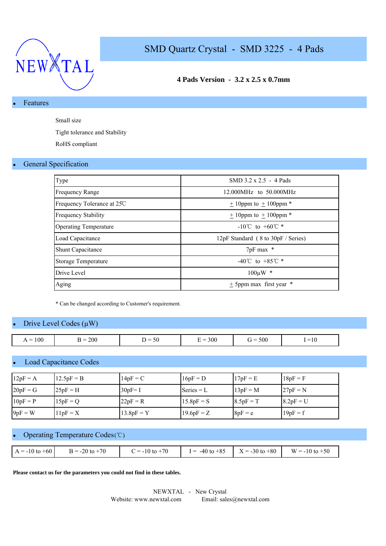

# **4 Pads Version - 3.2 x 2.5 x 0.7mm**

## **Features**

Small size

Tight tolerance and Stability

RoHS compliant

### • General Specification

| Type                         | SMD 3.2 x 2.5 - 4 Pads             |
|------------------------------|------------------------------------|
| <b>Frequency Range</b>       | 12.000MHz to 50.000MHz             |
| Frequency Tolerance at 25C   | $+10$ ppm to $+100$ ppm $*$        |
| <b>Frequency Stability</b>   | $\pm$ 10ppm to $\pm$ 100ppm $^*$   |
| <b>Operating Temperature</b> | $-10^{\circ}$ C to $+60^{\circ}$ * |
| Load Capacitance             | 12pF Standard (8 to 30pF / Series) |
| <b>Shunt Capacitance</b>     | $7pF$ max $*$                      |
| Storage Temperature          | -40°C to +85°C $*$                 |
| Drive Level                  | $100 \mu W$ *                      |
| Aging                        | $\pm$ 5ppm max first year $*$      |

\* Can be changed according to Customer's requirement.

### Drive Level Codes  $(\mu W)$

| 300<br>200<br>500<br>100<br>$\epsilon$<br>$\sim$<br>$=10$<br>$\overline{\phantom{a}}$<br>$\overline{\phantom{a}}$<br>$\mathbf{r} =$<br>`<br>$\mathbf{r}$<br>$\cdot$<br>∸<br>. . |  |  |  |
|---------------------------------------------------------------------------------------------------------------------------------------------------------------------------------|--|--|--|
|                                                                                                                                                                                 |  |  |  |

#### **Load Capacitance Codes**

| $12pF = A$ | $12.5pF = B$ | $14pF = C$   | $16pF = D$   | $17pF = E$  | $18pF = F$  |
|------------|--------------|--------------|--------------|-------------|-------------|
| $20pF = G$ | $25pF = H$   | $30pF = I$   | Series $= L$ | $13pF = M$  | $27pF = N$  |
| $10pF = P$ | $15pF = Q$   | $22pF = R$   | $15.8pF = S$ | $8.5pF = T$ | $8.2pF = U$ |
| $9pF = W$  | $11pF = X$   | $13.8pF = Y$ | $19.6pF = Z$ | $8pF = e$   | $19pF = f$  |

## Operating Temperature Codes (℃)

| $A = -10$ to $+60$ | $B = -20$ to $+70$ | $C = -10$ to $+70$ | $I = -40$ to $+85$ | $X = -30$ to $+80$ W = -10 to $+50$ |
|--------------------|--------------------|--------------------|--------------------|-------------------------------------|

**Please contact us for the parameters you could not find in these tables.**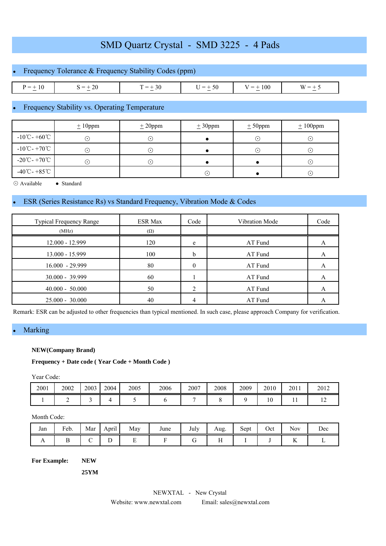| • Frequency Tolerance $&$ Frequency Stability Codes (ppm) |              |           |           |            |          |  |  |  |  |  |  |
|-----------------------------------------------------------|--------------|-----------|-----------|------------|----------|--|--|--|--|--|--|
|                                                           |              |           |           |            |          |  |  |  |  |  |  |
| $P = \pm 10$                                              | $S = \pm 20$ | $T = +30$ | $U = +50$ | $V = +100$ | $W = +5$ |  |  |  |  |  |  |

# Frequency Stability vs. Operating Temperature

|                                             | $\pm 10$ ppm | $± 20$ ppm | $\pm 30$ ppm | $± 50$ ppm | $± 100$ ppm |
|---------------------------------------------|--------------|------------|--------------|------------|-------------|
| $-10^{\circ}$ C - +60 $^{\circ}$ C          | ۰.           | ( • )      |              | $(\cdot)$  | $(\cdot)$   |
| $-10^{\circ}$ C - +70 $^{\circ}$ C          | $(\bullet)$  | ( • ا      |              | $(\cdot)$  | $(\cdot)$   |
| $-20^{\circ}\text{C} - +70^{\circ}\text{C}$ | $(\bullet)$  | ۰۱.        |              |            | $(\cdot)$   |
| $-40^{\circ}$ C - +85 $^{\circ}$ C          |              |            | ∩            |            | $\odot$     |

⊙ Available ● Standard

## ESR (Series Resistance Rs) vs Standard Frequency, Vibration Mode & Codes

| <b>Typical Frequency Range</b> | <b>ESR Max</b> | Code | Vibration Mode | Code |
|--------------------------------|----------------|------|----------------|------|
| (MHz)                          | $(\Omega)$     |      |                |      |
| 12.000 - 12.999                | 120            | e    | AT Fund        | A    |
| 13.000 - 15.999                | 100            | b    | AT Fund        | A    |
| 16.000 - 29.999                | 80             | 0    | AT Fund        |      |
| $30.000 - 39.999$              | 60             |      | AT Fund        | A    |
| $40.000 - 50.000$              | 50             | ↑    | AT Fund        |      |
| $25.000 - 30.000$              | 40             |      | AT Fund        |      |

Remark: ESR can be adjusted to other frequencies than typical mentioned. In such case, please approach Company for verification.

## **Marking**

#### **NEW(Company Brand)**

**Frequency + Date code ( Year Code + Month Code )** 

Year Code:

| 2001 | 2002 | 2003 | 2004 | 2005 | 2006 | 2007 | 2008 | 2009 | 2010 | 2011 | 2012 |
|------|------|------|------|------|------|------|------|------|------|------|------|
|      | -    | -    |      |      |      |      |      |      | 10   | . .  | . .  |

#### Month Code:

| Jan            | Feb. | Mar    | <b>Contract Contract Contract Contract</b><br>April | May | June | July | Aug.              | $\sim$ $\sim$<br>Sept | Oct | Nov                  | Dec |
|----------------|------|--------|-----------------------------------------------------|-----|------|------|-------------------|-----------------------|-----|----------------------|-----|
| $\overline{1}$ |      | -<br>◡ | ∸                                                   | -   |      | ີ    | $\sim$ $\sim$<br> |                       |     | <b>The Sec</b><br>17 |     |

**For Example: NEW**

**25YM**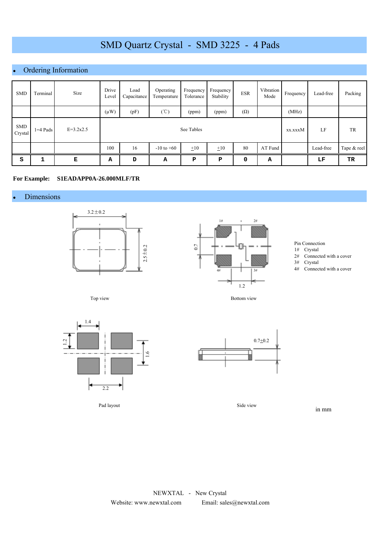# Ordering Information

| <b>SMD</b>            | Terminal   | Size        | Drive<br>Level | Load<br>Capacitance | Operating<br>Temperature | Frequency<br>Tolerance | Frequency<br>Stability | <b>ESR</b> | Vibration<br>Mode | Frequency | Lead-free | Packing     |
|-----------------------|------------|-------------|----------------|---------------------|--------------------------|------------------------|------------------------|------------|-------------------|-----------|-----------|-------------|
|                       |            |             | $(\mu W)$      | (pF)                | $(\mathcal{C})$          | (ppm)                  | (ppm)                  | $(\Omega)$ |                   | (MHz)     |           |             |
| <b>SMD</b><br>Crystal | $1=4$ Pads | $E=3.2x2.5$ |                | See Tables          |                          |                        |                        |            |                   |           | LF        | TR          |
|                       |            |             | 100            | 16                  | $-10$ to $+60$           | $\pm 10$               | $\pm 10$               | 80         | AT Fund           |           | Lead-free | Tape & reel |
| S                     | 1          | Е           | А              | D                   | Α                        | P                      | ${\bf P}$              | 0          | А                 |           | LF        | TR          |

#### **For Example: S1EADAPP0A-26.000MLF/TR**

#### **Dimensions**





Pin Connection

- 1# Crystal
- 2# Connected with a cover

3# Crystal

4# Connected with a cover

Top view



Pad layout



Bottom view

Side view

in mm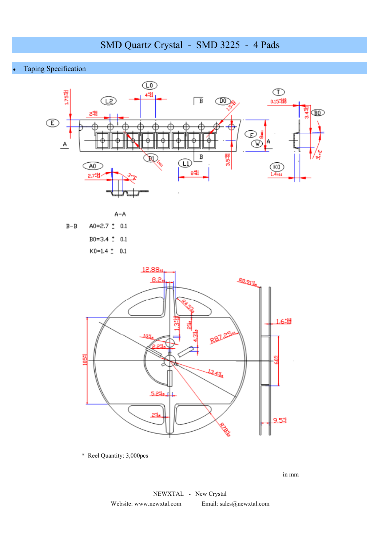**Taping Specification** 





 $K0=1.4 \pm 0.1$ 



\* Reel Quantity: 3,000pcs

in mm